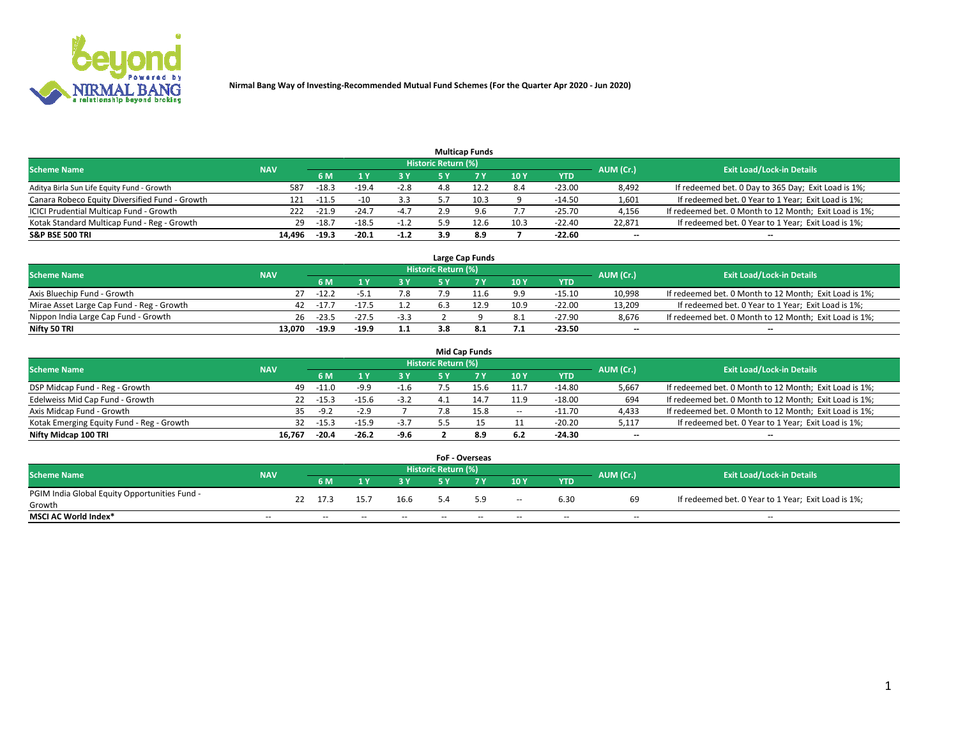

|                                                |            |         |         |        |                     | <b>Multicap Funds</b> |      |          |                          |                                                        |
|------------------------------------------------|------------|---------|---------|--------|---------------------|-----------------------|------|----------|--------------------------|--------------------------------------------------------|
| <b>Scheme Name</b>                             | <b>NAV</b> |         |         |        | Historic Return (%) |                       |      |          | AUM (Cr.)                | <b>Exit Load/Lock-in Details</b>                       |
|                                                |            | 6 M     |         | 3 Y    | 5 Y                 |                       | 10Y  | YTD      |                          |                                                        |
| Aditya Birla Sun Life Equity Fund - Growth     | 587        | $-18.3$ | $-19.4$ | $-2.8$ |                     |                       | 8.4  | $-23.00$ | 8,492                    | If redeemed bet. 0 Day to 365 Day; Exit Load is 1%;    |
| Canara Robeco Equity Diversified Fund - Growth | 121        | $-11.5$ | $-10$   | 3.3    | 55                  | 10.3                  |      | $-14.50$ | 1,601                    | If redeemed bet. 0 Year to 1 Year; Exit Load is 1%;    |
| ICICI Prudential Multicap Fund - Growth        | 222        | $-21.9$ | $-24.7$ | $-4.7$ | 2.9                 | 9.6                   |      | $-25.70$ | 4,156                    | If redeemed bet. 0 Month to 12 Month; Exit Load is 1%; |
| Kotak Standard Multicap Fund - Reg - Growth    | 29         | $-18.7$ | $-18.5$ | $-1.2$ | ב מ                 | 12.6                  | 10.3 | $-22.40$ | 22.871                   | If redeemed bet. 0 Year to 1 Year; Exit Load is 1%;    |
| <b>S&amp;P BSE 500 TRI</b>                     | 14.496     | $-19.3$ | $-20.1$ | $-1.2$ | 3.9                 | 8.9                   |      | $-22.60$ | $\overline{\phantom{a}}$ | --                                                     |

|                                           |            |         |         |                |                     | Large Cap Funds |      |            |           |                                                        |
|-------------------------------------------|------------|---------|---------|----------------|---------------------|-----------------|------|------------|-----------|--------------------------------------------------------|
| <b>Scheme Name</b>                        | <b>NAV</b> |         |         |                | Historic Return (%) |                 |      |            | AUM (Cr.) | <b>Exit Load/Lock-in Details</b>                       |
|                                           |            | 6 M     |         | 3 Y.           | 5 ٧                 |                 | 10Y  | <b>YTD</b> |           |                                                        |
| Axis Bluechip Fund - Growth               |            | $-12.2$ |         | 7.8            |                     |                 | 9.9  | $-15.10$   | 10,998    | If redeemed bet. 0 Month to 12 Month; Exit Load is 1%; |
| Mirae Asset Large Cap Fund - Reg - Growth | 42         | $-17.7$ | $-17.5$ |                |                     | 12.9            | 10.9 | $-22.00$   | 13.209    | If redeemed bet. 0 Year to 1 Year; Exit Load is 1%;    |
| Nippon India Large Cap Fund - Growth      | 26         | $-23.5$ | $-27.5$ | $\sim$<br>-3.3 |                     |                 | 8.1  | $-27.90$   | 8.676     | If redeemed bet. 0 Month to 12 Month; Exit Load is 1%; |
| Nifty 50 TRI                              | 13.070     | $-19.9$ | $-19.9$ | 1.1            |                     |                 | 7.1  | -23.50     | $- -$     | $\overline{\phantom{a}}$                               |

|                                           |            |         |         |        |                            | <b>Mid Cap Funds</b> |       |            |                          |                                                        |
|-------------------------------------------|------------|---------|---------|--------|----------------------------|----------------------|-------|------------|--------------------------|--------------------------------------------------------|
| <b>Scheme Name</b>                        | <b>NAV</b> |         |         |        | <b>Historic Return (%)</b> |                      |       |            | AUM (Cr.)                | <b>Exit Load/Lock-in Details</b>                       |
|                                           |            | 6 M     |         | 3V     | 5 Y                        |                      | 10 Y  | <b>YTD</b> |                          |                                                        |
| DSP Midcap Fund - Reg - Growth            | 49         | $-11.0$ | $-9.9$  | $-1.6$ |                            | 15.6                 | 11.7  | $-14.80$   | 5,667                    | If redeemed bet. 0 Month to 12 Month; Exit Load is 1%; |
| Edelweiss Mid Cap Fund - Growth           | 22         | $-15.3$ | $-15.6$ | $-3.2$ |                            | 14.7                 | 11.9  | $-18.00$   | 694                      | If redeemed bet. 0 Month to 12 Month; Exit Load is 1%; |
| Axis Midcap Fund - Growth                 | 35.        | $-9.2$  | $-2.9$  |        |                            | 15.8                 | $\!-$ | $-11.70$   | 4,433                    | If redeemed bet. 0 Month to 12 Month; Exit Load is 1%; |
| Kotak Emerging Equity Fund - Reg - Growth | 32         | $-15.3$ | $-15.9$ | $-3.7$ |                            |                      |       | $-20.20$   | 5,117                    | If redeemed bet. 0 Year to 1 Year; Exit Load is 1%;    |
| Nifty Midcap 100 TRI                      | 16.767     | $-20.4$ | $-26.2$ | -9.6   |                            | 8.9                  | 6.2   | -24.30     | $\overline{\phantom{a}}$ | $- -$                                                  |

|                                               |                          |    |        |       |       |                            | <b>FoF - Overseas</b> |                          |            |                          |                                                     |
|-----------------------------------------------|--------------------------|----|--------|-------|-------|----------------------------|-----------------------|--------------------------|------------|--------------------------|-----------------------------------------------------|
| <b>Scheme Name</b>                            | <b>NAV</b>               |    |        |       |       | <b>Historic Return (%)</b> |                       |                          |            | AUM (Cr.)                | <b>Exit Load/Lock-in Details</b>                    |
|                                               |                          |    | 6 M    |       | 2 V.  | E V                        |                       | 10Y                      | <b>YTD</b> |                          |                                                     |
| PGIM India Global Equity Opportunities Fund - |                          | 22 | 17.3   | 15.7  | 16.6  |                            | 5.9                   |                          | 6.30       | 69                       | If redeemed bet. 0 Year to 1 Year; Exit Load is 1%; |
| Growth                                        |                          |    |        |       |       |                            |                       | $\overline{\phantom{m}}$ |            |                          |                                                     |
| <b>MSCI AC World Index*</b>                   | $\overline{\phantom{a}}$ |    | $\sim$ | $- -$ | $- -$ | $\sim$                     | $- -$                 | $\overline{\phantom{a}}$ | $\sim$     | $\overline{\phantom{m}}$ | $\sim$                                              |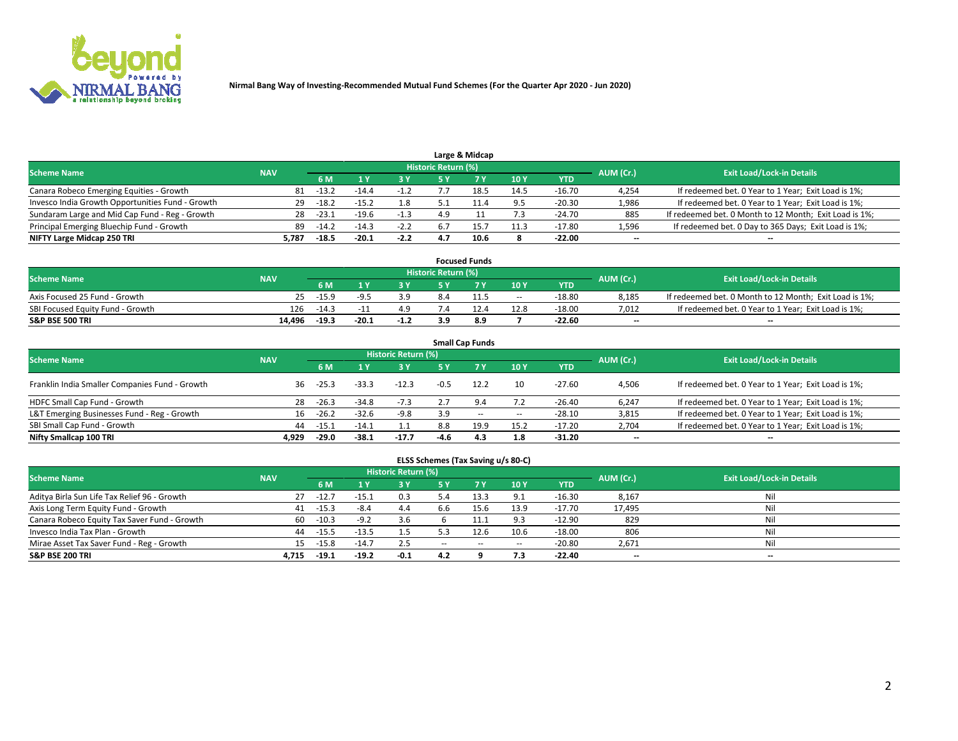

|                                                  |            |         |         |        |                     | Large & Midcap |      |            |           |                                                        |
|--------------------------------------------------|------------|---------|---------|--------|---------------------|----------------|------|------------|-----------|--------------------------------------------------------|
| <b>Scheme Name</b>                               | <b>NAV</b> |         |         |        | Historic Return (%) |                |      |            | AUM (Cr.) | <b>Exit Load/Lock-in Details</b>                       |
|                                                  |            | 6 M     |         | 3 Y    | ς γ                 |                | 10Y  | <b>YTD</b> |           |                                                        |
| Canara Robeco Emerging Equities - Growth         | 81         | $-13.2$ | -14.4   | $-1.2$ |                     |                | 14.5 | $-16.70$   | 4,254     | If redeemed bet. 0 Year to 1 Year; Exit Load is 1%;    |
| Invesco India Growth Opportunities Fund - Growth | 29         | $-18.2$ | $-15.2$ | 1.8    |                     |                | 9.5  | $-20.30$   | 1,986     | If redeemed bet. 0 Year to 1 Year; Exit Load is 1%;    |
| Sundaram Large and Mid Cap Fund - Reg - Growth   | 28         | $-23.1$ | $-19.6$ | $-1.3$ | 4.9                 |                | 7.3  | $-24.70$   | 885       | If redeemed bet. 0 Month to 12 Month; Exit Load is 1%; |
| Principal Emerging Bluechip Fund - Growth        | 89         | $-14.2$ | $-14.3$ | $-2.2$ | 6.7                 |                | 11.3 | $-17.80$   | 1,596     | If redeemed bet. 0 Day to 365 Days; Exit Load is 1%;   |
| NIFTY Large Midcap 250 TRI                       | 5.787      | $-18.5$ | $-20.1$ | $-2.2$ |                     | 10.6           |      | $-22.00$   | $- -$     | --                                                     |

|                                  |            |         |         |        |                     | <b>Focused Funds</b> |        |            |           |                                                        |
|----------------------------------|------------|---------|---------|--------|---------------------|----------------------|--------|------------|-----------|--------------------------------------------------------|
| <b>Scheme Name</b>               | <b>NAV</b> |         |         |        | Historic Return (%) |                      |        |            | AUM (Cr.) | <b>Exit Load/Lock-in Details</b>                       |
|                                  |            | 6 M     |         |        | <b>EV</b>           |                      | 10Y    | <b>YTD</b> |           |                                                        |
| Axis Focused 25 Fund - Growth    | 25.        | $-15.9$ | LQ F    | 3.9    | 8.4                 |                      | $\sim$ | $-18.80$   | 8.185     | If redeemed bet. 0 Month to 12 Month; Exit Load is 1%; |
| SBI Focused Equity Fund - Growth | 126        | $-14.3$ | - 11    | 4.9    |                     |                      | 12.8   | $-18.00$   | 7.012     | If redeemed bet. 0 Year to 1 Year; Exit Load is 1%;    |
| <b>S&amp;P BSE 500 TRI</b>       | 14.496     | $-19.3$ | $-20.1$ | $-1.2$ |                     | 8.9                  |        | $-22.60$   | $- -$     | $\overline{\phantom{a}}$                               |

| <b>Small Cap Funds</b>                                                                                          |       |         |         |         |        |           |       |            |                          |                                                     |  |  |  |  |
|-----------------------------------------------------------------------------------------------------------------|-------|---------|---------|---------|--------|-----------|-------|------------|--------------------------|-----------------------------------------------------|--|--|--|--|
| <b>Historic Return (%)</b><br><b>Exit Load/Lock-in Details</b><br><b>Scheme Name</b><br><b>NAV</b><br>AUM (Cr.) |       |         |         |         |        |           |       |            |                          |                                                     |  |  |  |  |
|                                                                                                                 |       | 6 M     |         | 3 Y     | 5 Y    | <b>7Y</b> | 10Y   | <b>YTD</b> |                          |                                                     |  |  |  |  |
| Franklin India Smaller Companies Fund - Growth                                                                  | 36    | $-25.3$ | $-33.3$ | $-12.3$ |        | 12.2      | 10    | $-27.60$   | 4,506                    | If redeemed bet. 0 Year to 1 Year; Exit Load is 1%; |  |  |  |  |
| HDFC Small Cap Fund - Growth                                                                                    | 28    | $-26.3$ | $-34.8$ | $-7.3$  |        | 9.4       | 7.2   | $-26.40$   | 6,247                    | If redeemed bet. 0 Year to 1 Year; Exit Load is 1%; |  |  |  |  |
| L&T Emerging Businesses Fund - Reg - Growth                                                                     | 16    | $-26.2$ | $-32.6$ | $-9.8$  | 3.9    | $- -$     | $\!-$ | $-28.10$   | 3,815                    | If redeemed bet. 0 Year to 1 Year; Exit Load is 1%; |  |  |  |  |
| SBI Small Cap Fund - Growth                                                                                     | 44    | $-15.1$ | -14.1   | 1.1     | 8.8    | 19.9      | 15.2  | $-17.20$   | 2,704                    | If redeemed bet. 0 Year to 1 Year; Exit Load is 1%; |  |  |  |  |
| Nifty Smallcap 100 TRI                                                                                          | 4.929 | $-29.0$ | $-38.1$ | $-17.7$ | $-4.6$ | 4.3       | 1.8   | $-31.20$   | $\overline{\phantom{a}}$ | --                                                  |  |  |  |  |

## **ELSS Schemes (Tax Saving u/s 80-C)**

| <b>Scheme Name</b>                           | <b>NAV</b> |         |         | <b>Historic Return (%)</b> |       |       |        |            | AUM (Cr.) | <b>Exit Load/Lock-in Details</b> |
|----------------------------------------------|------------|---------|---------|----------------------------|-------|-------|--------|------------|-----------|----------------------------------|
|                                              |            | 6 M     |         | 3 Y                        | 5 Y   |       | 10Y    | <b>YTD</b> |           |                                  |
| Aditya Birla Sun Life Tax Relief 96 - Growth | 27         | $-12.$  | -15.1   | 0.3                        |       |       | 9.1    | $-16.30$   | 8,167     | Nil                              |
| Axis Long Term Equity Fund - Growth          | 41         | $-15.3$ | $-8.4$  | 4.4                        | b.b   | 15.6  | 13.9   | $-17.70$   | 17,495    | Nil                              |
| Canara Robeco Equity Tax Saver Fund - Growth | 60         | $-10.3$ | $-9.2$  | 3.6                        |       | 11.1  | 9.3    | -12.90     | 829       | Nil                              |
| Invesco India Tax Plan - Growth              | 44         | $-15.5$ | $-13.5$ | 1.5                        |       | 12.6  | 10.6   | $-18.00$   | 806       | Nil                              |
| Mirae Asset Tax Saver Fund - Reg - Growth    | 15         | $-15.8$ | $-14.7$ | 2.5                        | $- -$ | $- -$ | $\sim$ | $-20.80$   | 2,671     | Nil                              |
| <b>S&amp;P BSE 200 TRI</b>                   | 4.715      | $-19.1$ | $-19.2$ | $-0.1$                     | 4.2   |       | 7.3    | $-22.40$   | $-$       | $-$                              |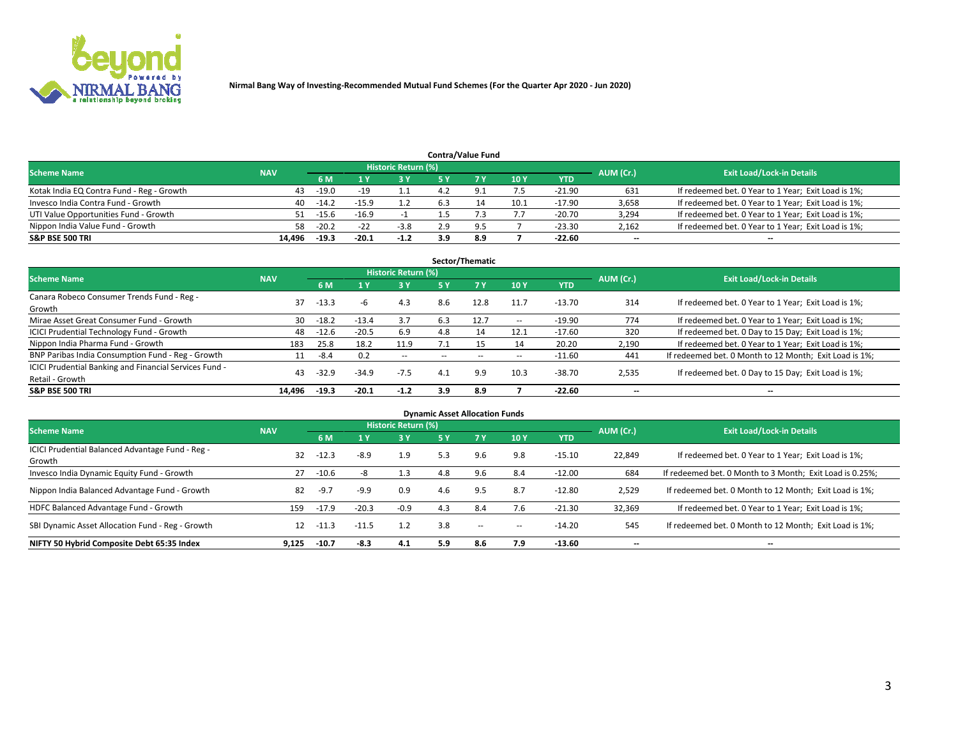

|                                           |            |                                  |         |        |     | <b>Contra/Value Fund</b> |      |            |       |                                                     |
|-------------------------------------------|------------|----------------------------------|---------|--------|-----|--------------------------|------|------------|-------|-----------------------------------------------------|
| <b>Scheme Name</b>                        | AUM (Cr.)  | <b>Exit Load/Lock-in Details</b> |         |        |     |                          |      |            |       |                                                     |
|                                           | <b>NAV</b> | 6 M                              |         | 3 Y    |     |                          | 10Y  | <b>YTD</b> |       |                                                     |
| Kotak India EQ Contra Fund - Reg - Growth | 43         | $-19.0$                          | $-19$   |        |     | Q                        | 7.5  | $-21.90$   | 631   | If redeemed bet. 0 Year to 1 Year; Exit Load is 1%; |
| Invesco India Contra Fund - Growth        | 40         | $-14.2$                          | $-15.9$ |        |     |                          | 10.1 | $-17.90$   | 3,658 | If redeemed bet. 0 Year to 1 Year; Exit Load is 1%; |
| UTI Value Opportunities Fund - Growth     | 51         | $-15.6$                          | $-16.9$ |        |     |                          | ,,,  | $-20.70$   | 3,294 | If redeemed bet. 0 Year to 1 Year; Exit Load is 1%; |
| Nippon India Value Fund - Growth          | 58         | $-20.2$                          | -22     | $-3.8$ | 2.9 | O.                       |      | $-23.30$   | 2,162 | If redeemed bet. 0 Year to 1 Year; Exit Load is 1%; |
| <b>S&amp;P BSE 500 TRI</b>                | 14.496     | $-19.3$                          | -20.1   | $-1.2$ | 3.9 | 8.9                      |      | $-22.60$   | $- -$ | $-$                                                 |

| Sector/Thematic                                                           |            |         |         |                     |        |      |                          |          |                          |                                                        |  |  |  |
|---------------------------------------------------------------------------|------------|---------|---------|---------------------|--------|------|--------------------------|----------|--------------------------|--------------------------------------------------------|--|--|--|
| <b>Scheme Name</b>                                                        | <b>NAV</b> |         |         | Historic Return (%) |        |      |                          |          | AUM (Cr.)                | <b>Exit Load/Lock-in Details</b>                       |  |  |  |
|                                                                           |            | 6 M     |         | <b>3Y</b>           | 5 Y    | 7Y   | 10Y                      | YTD      |                          |                                                        |  |  |  |
| Canara Robeco Consumer Trends Fund - Reg -<br>Growth                      | 37         | $-13.3$ | -h      | 4.3                 | 8.6    | 12.8 | 11.7                     | $-13.70$ | 314                      | If redeemed bet. 0 Year to 1 Year; Exit Load is 1%;    |  |  |  |
| Mirae Asset Great Consumer Fund - Growth                                  | 30         | $-18.2$ | $-13.4$ | 3.7                 | 6.3    | 12.7 | $\hspace{0.05cm} \cdots$ | $-19.90$ | 774                      | If redeemed bet. 0 Year to 1 Year; Exit Load is 1%;    |  |  |  |
| <b>ICICI Prudential Technology Fund - Growth</b>                          | 48         | $-12.6$ | $-20.5$ | 6.9                 | 4.8    | 14   | 12.1                     | $-17.60$ | 320                      | If redeemed bet. 0 Day to 15 Day; Exit Load is 1%;     |  |  |  |
| Nippon India Pharma Fund - Growth                                         | 183        | 25.8    | 18.2    | 11.9                |        |      | 14                       | 20.20    | 2,190                    | If redeemed bet. 0 Year to 1 Year; Exit Load is 1%;    |  |  |  |
| BNP Paribas India Consumption Fund - Reg - Growth                         | 11         | $-8.4$  | 0.2     | $\sim$ $-$          | $\sim$ | --   | $\hspace{0.05cm} \cdots$ | $-11.60$ | 441                      | If redeemed bet. 0 Month to 12 Month; Exit Load is 1%; |  |  |  |
| ICICI Prudential Banking and Financial Services Fund -<br>Retail - Growth | 43         | $-32.9$ | $-34.9$ | $-7.5$              | 4.1    | 9.9  | 10.3                     | $-38.70$ | 2,535                    | If redeemed bet. 0 Day to 15 Day; Exit Load is 1%;     |  |  |  |
| <b>S&amp;P BSE 500 TRI</b>                                                | 14.496     | $-19.3$ | $-20.1$ | $-1.2$              | 3.9    | 8.9  |                          | $-22.60$ | $\overline{\phantom{a}}$ | --                                                     |  |  |  |

| <b>Dynamic Asset Allocation Funds</b>                      |            |         |         |                            |     |                          |            |            |                          |                                                          |  |  |  |
|------------------------------------------------------------|------------|---------|---------|----------------------------|-----|--------------------------|------------|------------|--------------------------|----------------------------------------------------------|--|--|--|
| <b>Scheme Name</b>                                         | <b>NAV</b> |         |         | <b>Historic Return (%)</b> |     |                          |            |            | AUM (Cr.)                | <b>Exit Load/Lock-in Details</b>                         |  |  |  |
|                                                            |            | 6 M     |         | 3Y                         | 5 Y | <b>7Y</b>                | <b>10Y</b> | <b>YTD</b> |                          |                                                          |  |  |  |
| ICICI Prudential Balanced Advantage Fund - Reg -<br>Growth | 32         | $-12.3$ | $-8.9$  | 1.9                        | 5.3 | 9.6                      | 9.8        | $-15.10$   | 22,849                   | If redeemed bet. 0 Year to 1 Year; Exit Load is 1%;      |  |  |  |
| Invesco India Dynamic Equity Fund - Growth                 | 27         | $-10.6$ | -8      | 1.3                        | 4.8 | 9.6                      | 8.4        | $-12.00$   | 684                      | If redeemed bet. 0 Month to 3 Month; Exit Load is 0.25%; |  |  |  |
| Nippon India Balanced Advantage Fund - Growth              | 82         | $-9.7$  | $-9.9$  | 0.9                        | 4.6 | 9.5                      | 8.7        | $-12.80$   | 2,529                    | If redeemed bet. 0 Month to 12 Month; Exit Load is 1%;   |  |  |  |
| HDFC Balanced Advantage Fund - Growth                      | 159        | $-17.9$ | $-20.3$ | $-0.9$                     | 4.3 | 8.4                      | 7.6        | $-21.30$   | 32,369                   | If redeemed bet. 0 Year to 1 Year; Exit Load is 1%;      |  |  |  |
| SBI Dynamic Asset Allocation Fund - Reg - Growth           | 12         | $-11.3$ | $-11.5$ |                            | 3.8 | $\overline{\phantom{a}}$ | $\!-$      | $-14.20$   | 545                      | If redeemed bet. 0 Month to 12 Month; Exit Load is 1%;   |  |  |  |
| NIFTY 50 Hybrid Composite Debt 65:35 Index                 | 9,125      | $-10.7$ | $-8.3$  | 4.1                        | 5.9 | 8.6                      | 7.9        | -13.60     | $\overline{\phantom{a}}$ | --                                                       |  |  |  |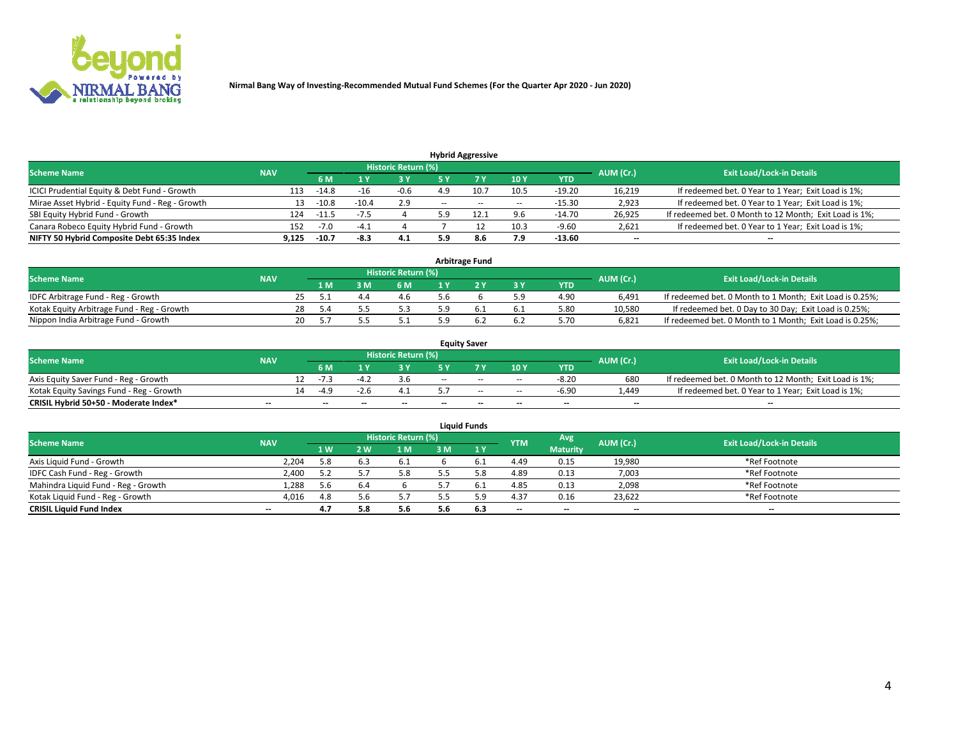

|                                                 |            |         |         |                            |           | <b>Hybrid Aggressive</b> |                          |            |                          |                                                        |
|-------------------------------------------------|------------|---------|---------|----------------------------|-----------|--------------------------|--------------------------|------------|--------------------------|--------------------------------------------------------|
| <b>Scheme Name</b>                              | <b>NAV</b> |         |         | <b>Historic Return (%)</b> |           |                          |                          |            | AUM (Cr.)                | <b>Exit Load/Lock-in Details</b>                       |
|                                                 |            | 6 M     |         | 73 Y                       |           |                          | 10Y                      | <b>YTD</b> |                          |                                                        |
| ICICI Prudential Equity & Debt Fund - Growth    | 113        | $-14.8$ | -16     | $-0.6$                     | 4.9       |                          | 10.5                     | $-19.20$   | 16,219                   | If redeemed bet. 0 Year to 1 Year; Exit Load is 1%;    |
| Mirae Asset Hybrid - Equity Fund - Reg - Growth | 13         | $-10.8$ | $-10.4$ | 2.9                        | $- -$     | $\sim$                   | $\overline{\phantom{a}}$ | $-15.30$   | 2,923                    | If redeemed bet. 0 Year to 1 Year; Exit Load is 1%;    |
| SBI Equity Hybrid Fund - Growth                 | 124        | -11.    |         |                            | 5.9       |                          | 9.6                      | $-14.70$   | 26.925                   | If redeemed bet. 0 Month to 12 Month; Exit Load is 1%; |
| Canara Robeco Equity Hybrid Fund - Growth       | 152        | -7.0    | -4      |                            |           |                          | 10.3                     | $-9.60$    | 2,621                    | If redeemed bet. 0 Year to 1 Year; Exit Load is 1%;    |
| NIFTY 50 Hybrid Composite Debt 65:35 Index      | 9,125      | $-10.7$ | -8.3    | 4.1                        | cα<br>J.J | 8.6                      | 7.9                      | $-13.60$   | $\overline{\phantom{a}}$ | --                                                     |

| <b>Arbitrage Fund</b>                      |            |    |       |  |                     |  |  |     |            |           |                                                          |  |  |
|--------------------------------------------|------------|----|-------|--|---------------------|--|--|-----|------------|-----------|----------------------------------------------------------|--|--|
| <b>Scheme Name</b>                         | <b>NAV</b> |    |       |  | Historic Return (%) |  |  |     |            | AUM (Cr.) | <b>Exit Load/Lock-in Details</b>                         |  |  |
|                                            |            |    | 1 M   |  | 6 M                 |  |  | 3 Y | <b>YTD</b> |           |                                                          |  |  |
| IDFC Arbitrage Fund - Reg - Growth         |            |    |       |  | 4.6                 |  |  |     | 4.90       | 6.491     | If redeemed bet. 0 Month to 1 Month; Exit Load is 0.25%; |  |  |
| Kotak Equity Arbitrage Fund - Reg - Growth |            | 28 | - 5.4 |  | 5.3                 |  |  | 6.1 | 5.80       | 10.580    | If redeemed bet. 0 Day to 30 Day; Exit Load is 0.25%;    |  |  |
| Nippon India Arbitrage Fund - Growth       |            | 20 |       |  |                     |  |  | 6.2 | 5.70       | 6.821     | If redeemed bet. 0 Month to 1 Month; Exit Load is 0.25%; |  |  |

| <b>Equity Saver</b>                      |                          |    |                          |       |                     |     |                          |                          |                          |           |                                                        |  |  |  |
|------------------------------------------|--------------------------|----|--------------------------|-------|---------------------|-----|--------------------------|--------------------------|--------------------------|-----------|--------------------------------------------------------|--|--|--|
| <b>Scheme Name</b>                       | <b>NAV</b>               |    |                          |       | Historic Return (%) |     |                          |                          |                          | AUM (Cr.) | <b>Exit Load/Lock-in Details</b>                       |  |  |  |
|                                          |                          |    | 6 M                      |       |                     |     |                          | 10Y                      | <b>YTD</b>               |           |                                                        |  |  |  |
| Axis Equity Saver Fund - Reg - Growth    |                          |    | $-1$ $-$                 |       |                     | $-$ | $-$                      | $\sim$                   | $-8.20$                  | 680       | If redeemed bet. 0 Month to 12 Month; Exit Load is 1%; |  |  |  |
| Kotak Equity Savings Fund - Reg - Growth |                          | 14 | -49                      | -2.0  |                     |     | $-$                      | $-$                      | $-6.90$                  | .449      | If redeemed bet. 0 Year to 1 Year; Exit Load is 1%;    |  |  |  |
| CRISIL Hybrid 50+50 - Moderate Index*    | $\overline{\phantom{a}}$ |    | $\overline{\phantom{a}}$ | $- -$ | $-$                 | $-$ | $\overline{\phantom{a}}$ | $\overline{\phantom{a}}$ | $\overline{\phantom{a}}$ | $- -$     | $\overline{\phantom{a}}$                               |  |  |  |

| <b>Liquid Funds</b>                 |            |                |                |                            |     |           |            |                 |           |                                  |  |  |  |  |
|-------------------------------------|------------|----------------|----------------|----------------------------|-----|-----------|------------|-----------------|-----------|----------------------------------|--|--|--|--|
| <b>Scheme Name</b>                  | <b>NAV</b> |                |                | <b>Historic Return (%)</b> |     |           | <b>YTM</b> | Avg             | AUM (Cr.) | <b>Exit Load/Lock-in Details</b> |  |  |  |  |
|                                     |            | 1 <sub>W</sub> | $\overline{M}$ | 1 M                        | ះ M | 1 Y       |            | <b>Maturity</b> |           |                                  |  |  |  |  |
| Axis Liquid Fund - Growth           | 2.204      | 5.8            | 6.3            | -6.1                       |     |           | 4.49       | 0.15            | 19,980    | *Ref Footnote                    |  |  |  |  |
| IDFC Cash Fund - Reg - Growth       | 2.400      | 5.2            |                | 5.8                        |     |           | 4.89       | 0.13            | 7,003     | *Ref Footnote                    |  |  |  |  |
| Mahindra Liquid Fund - Reg - Growth | 1,288      | 5.6            | 6.4            |                            |     | <b>b.</b> | 4.85       | 0.13            | 2,098     | *Ref Footnote                    |  |  |  |  |
| Kotak Liquid Fund - Reg - Growth    | 4,016      | 4.8            |                | 5.7                        |     |           | 4.37       | 0.16            | 23,622    | *Ref Footnote                    |  |  |  |  |
| <b>CRISIL Liquid Fund Index</b>     | $- -$      | 4.7            |                | 5.6                        | 5.6 | 6.3       | $-$        | $- -$           | $-$       | $-$                              |  |  |  |  |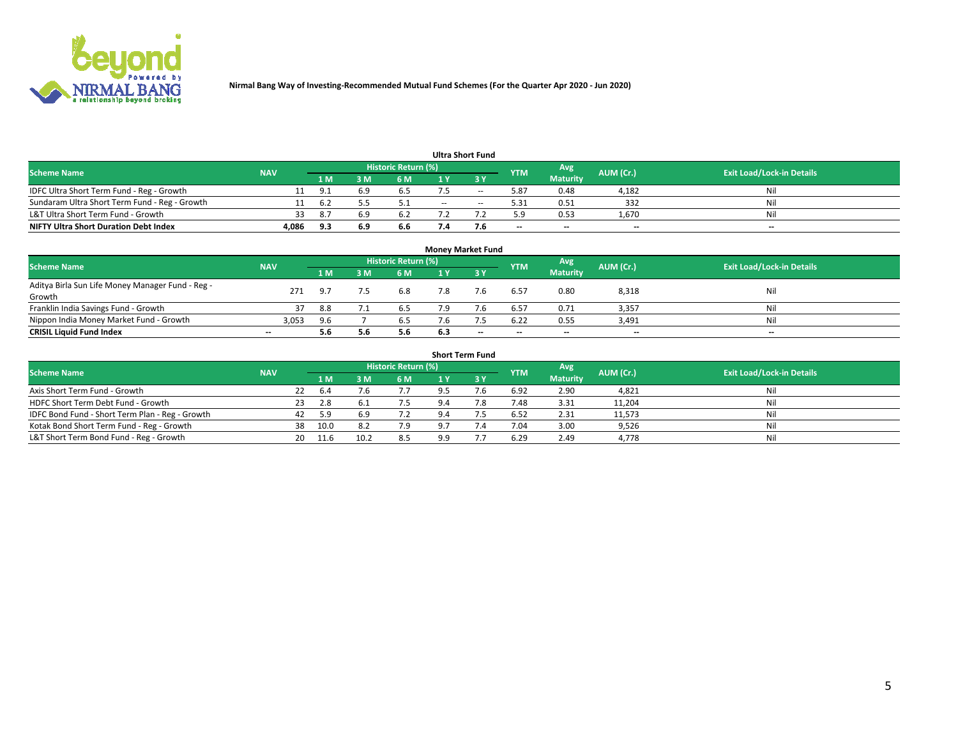

|                                               |            |     |     |                     |     | <b>Ultra Short Fund</b>  |                          |                          |                          |                                  |
|-----------------------------------------------|------------|-----|-----|---------------------|-----|--------------------------|--------------------------|--------------------------|--------------------------|----------------------------------|
| <b>Scheme Name</b>                            | <b>NAV</b> |     |     | Historic Return (%) |     |                          | <b>YTM</b>               | Avg                      | AUM (Cr.)                | <b>Exit Load/Lock-in Details</b> |
|                                               |            | 1 M |     | 6 M                 |     | י כ                      |                          | <b>Maturity</b>          |                          |                                  |
| IDFC Ultra Short Term Fund - Reg - Growth     |            |     |     | 6.5                 |     | $\overline{\phantom{a}}$ | 5.87                     | 0.48                     | 4,182                    | Nil                              |
| Sundaram Ultra Short Term Fund - Reg - Growth |            |     |     |                     | $-$ | $\sim$                   | 5.31                     | 0.51                     | 332                      | Nil                              |
| L&T Ultra Short Term Fund - Growth            | 33         | 8.  |     | 6.2                 |     |                          | 5.9                      | 0.53                     | 1,670                    | Nil                              |
| <b>NIFTY Ultra Short Duration Debt Index</b>  | 4,086      | 9.3 | 6.9 | 6.6                 |     |                          | $\overline{\phantom{a}}$ | $\overline{\phantom{a}}$ | $\overline{\phantom{a}}$ | $- -$                            |

| <b>Money Market Fund</b>                         |            |     |    |                            |     |                          |                          |                 |           |                                  |  |  |  |  |
|--------------------------------------------------|------------|-----|----|----------------------------|-----|--------------------------|--------------------------|-----------------|-----------|----------------------------------|--|--|--|--|
| <b>Scheme Name</b>                               | <b>NAV</b> |     |    | <b>Historic Return (%)</b> |     |                          | <b>YTM</b>               | Avg             | AUM (Cr.) | <b>Exit Load/Lock-in Details</b> |  |  |  |  |
|                                                  |            | 1 M | ١M | 6 M                        |     | <b>3Y</b>                |                          | <b>Maturity</b> |           |                                  |  |  |  |  |
| Aditya Birla Sun Life Money Manager Fund - Reg - | 271        | 9.7 |    | 6.8                        | 7.8 |                          | 6.57                     | 0.80            | 8,318     | Nil                              |  |  |  |  |
| Growth                                           |            |     |    |                            |     |                          |                          |                 |           |                                  |  |  |  |  |
| Franklin India Savings Fund - Growth             |            | 8.8 |    | 6.5                        |     |                          | 6.57                     | 0.71            | 3,357     | Nil                              |  |  |  |  |
| Nippon India Money Market Fund - Growth          | 3,053      | 9.6 |    | 6.5                        |     |                          | 6.22                     | 0.55            | 3,491     | Nil                              |  |  |  |  |
| <b>CRISIL Liquid Fund Index</b>                  | $- -$      | 5.6 |    | 5.6                        | 6.3 | $\overline{\phantom{a}}$ | $\overline{\phantom{a}}$ | $- -$           | $- -$     | $-$                              |  |  |  |  |

| <b>Short Term Fund</b>                          |            |    |      |      |                     |                |             |            |                 |           |                                  |  |  |  |
|-------------------------------------------------|------------|----|------|------|---------------------|----------------|-------------|------------|-----------------|-----------|----------------------------------|--|--|--|
| <b>Scheme Name</b>                              | <b>NAV</b> |    |      |      | Historic Return (%) |                |             | <b>YTM</b> | Avg             | AUM (Cr.) | <b>Exit Load/Lock-in Details</b> |  |  |  |
|                                                 |            |    | 4 M  | 3 M  | 6 M                 | 1 Y            | <b>23 V</b> |            | <b>Maturity</b> |           |                                  |  |  |  |
| Axis Short Term Fund - Growth                   |            | 22 | 6.4  | 7.6  |                     | 9.5            | 7.6         | 6.92       | 2.90            | 4,821     | Nil                              |  |  |  |
| HDFC Short Term Debt Fund - Growth              |            | 23 | 2.8  |      | 7.5                 |                | 7.8         | 7.48       | 3.31            | 11,204    | Nil                              |  |  |  |
| IDFC Bond Fund - Short Term Plan - Reg - Growth |            | 42 | 5.9  | 6.9  | 7.2                 | 9.4            |             | 6.52       | 2.31            | 11,573    | Nil                              |  |  |  |
| Kotak Bond Short Term Fund - Reg - Growth       |            | 38 | 10.0 | 8.2  | 7.9                 | Q <sub>7</sub> | 7.4         | 7.04       | 3.00            | 9,526     | Nil                              |  |  |  |
| L&T Short Term Bond Fund - Reg - Growth         |            | 20 | 11.6 | 10.2 | 8.5                 | a a            |             | 6.29       | 2.49            | 4,778     | Nil                              |  |  |  |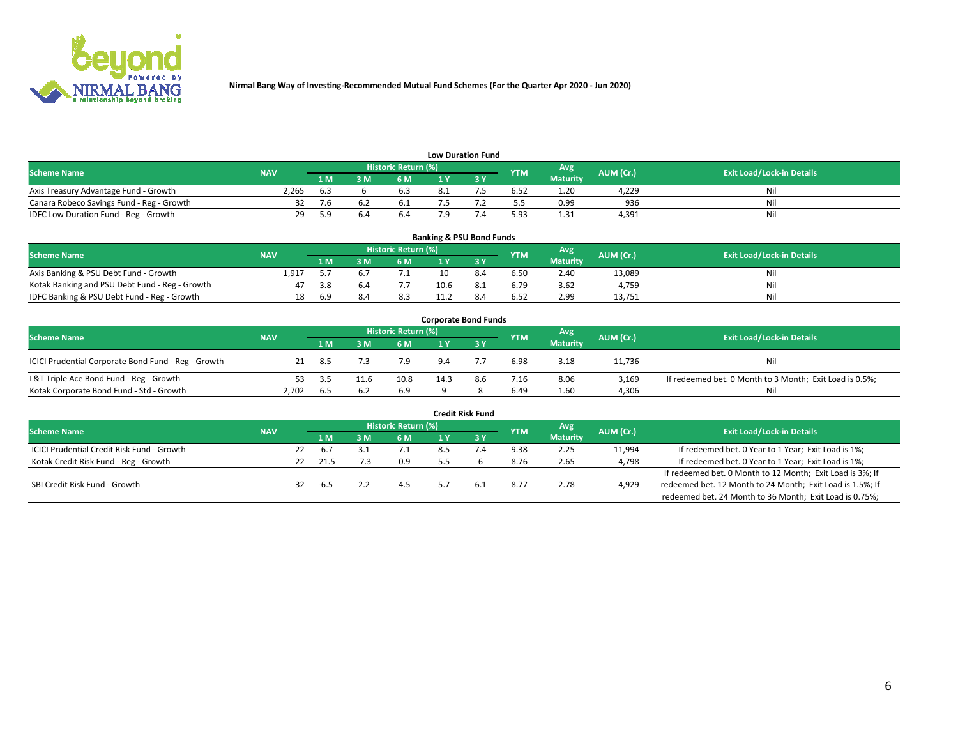

| <b>Low Duration Fund</b>                  |            |     |     |                      |  |  |            |                 |           |                                  |  |  |  |  |
|-------------------------------------------|------------|-----|-----|----------------------|--|--|------------|-----------------|-----------|----------------------------------|--|--|--|--|
| <b>Scheme Name</b>                        | <b>NAV</b> |     |     | Historic Return (%)' |  |  | <b>YTM</b> | Avg             | AUM (Cr.) | <b>Exit Load/Lock-in Details</b> |  |  |  |  |
|                                           |            | 1 M | : M | 6 M                  |  |  |            | <b>Maturity</b> |           |                                  |  |  |  |  |
| Axis Treasury Advantage Fund - Growth     | 2,265      | 6.3 |     |                      |  |  | 6.52       | 1.20            | 4,229     | Nil                              |  |  |  |  |
| Canara Robeco Savings Fund - Reg - Growth |            |     |     | 0.1                  |  |  |            | 0.99            | 936       | Nil                              |  |  |  |  |
| IDFC Low Duration Fund - Reg - Growth     | 29         | 59  | b   | 6.4                  |  |  | 5.93       | 1.31            | 4,391     | Nil                              |  |  |  |  |

| <b>Banking &amp; PSU Bond Funds</b>            |            |     |          |                            |      |     |            |                 |           |                                  |  |  |  |  |
|------------------------------------------------|------------|-----|----------|----------------------------|------|-----|------------|-----------------|-----------|----------------------------------|--|--|--|--|
| <b>Scheme Name</b>                             | <b>NAV</b> |     |          | <b>Historic Return (%)</b> |      |     | <b>YTM</b> | Avg             | AUM (Cr.) | <b>Exit Load/Lock-in Details</b> |  |  |  |  |
|                                                |            | 1 M | <b>M</b> | 6 M                        |      |     |            | <b>Maturity</b> |           |                                  |  |  |  |  |
| Axis Banking & PSU Debt Fund - Growth          | 1.917      |     |          | ٠.                         |      | 8.4 | 6.50       | 2.40            | 13.089    | Nil                              |  |  |  |  |
| Kotak Banking and PSU Debt Fund - Reg - Growth |            | 3.8 | D.4      |                            | 10.6 | 8.1 | 6.79       | 3.62            | 4.759     | Nil                              |  |  |  |  |
| IDFC Banking & PSU Debt Fund - Reg - Growth    | 18         | 6.9 | 8.4      | 8.3                        |      | 8.4 | 6.52       | 2.99            | 13,751    | Nil                              |  |  |  |  |

| <b>Corporate Bond Funds</b>                         |            |      |      |                     |      |     |            |                 |           |                                                         |  |  |  |  |
|-----------------------------------------------------|------------|------|------|---------------------|------|-----|------------|-----------------|-----------|---------------------------------------------------------|--|--|--|--|
| <b>Scheme Name</b>                                  | <b>NAV</b> |      |      | Historic Return (%) |      |     | <b>YTM</b> | Avg             | AUM (Cr.) | <b>Exit Load/Lock-in Details</b>                        |  |  |  |  |
|                                                     |            | 1 M. | 3 M  | 6 M                 |      |     |            | <b>Maturity</b> |           |                                                         |  |  |  |  |
| ICICI Prudential Corporate Bond Fund - Reg - Growth |            | -8.5 |      | 7.9                 | 9.4  |     | 6.98       | 3.18            | 11,736    | Nil                                                     |  |  |  |  |
| L&T Triple Ace Bond Fund - Reg - Growth             |            |      | 11.6 | 10.8                | 14.3 | 8.6 | 7.16       | 8.06            | 3.169     | If redeemed bet. 0 Month to 3 Month; Exit Load is 0.5%; |  |  |  |  |
| Kotak Corporate Bond Fund - Std - Growth            | 2,702      | 6.5  |      | 6.9                 |      |     | 6.49       | 1.60            | 4,306     | Nil                                                     |  |  |  |  |

| <b>Credit Risk Fund</b>                    |            |    |         |  |                     |     |      |            |                 |           |                                                           |  |  |
|--------------------------------------------|------------|----|---------|--|---------------------|-----|------|------------|-----------------|-----------|-----------------------------------------------------------|--|--|
| <b>Scheme Name</b>                         | <b>NAV</b> |    |         |  | Historic Return (%) |     |      | <b>YTM</b> | Avg             | AUM (Cr.) | <b>Exit Load/Lock-in Details</b>                          |  |  |
|                                            |            |    | 1 M     |  | <b>6M</b>           |     | -3 Y |            | <b>Maturity</b> |           |                                                           |  |  |
| ICICI Prudential Credit Risk Fund - Growth |            | 22 | $-6.7$  |  | 7.1                 | 8.5 |      | 9.38       | 2.25            | 11,994    | If redeemed bet. 0 Year to 1 Year; Exit Load is 1%;       |  |  |
| Kotak Credit Risk Fund - Reg - Growth      |            | 22 | $-21.5$ |  | 0.9                 |     |      | 8.76       | 2.65            | 4,798     | If redeemed bet. 0 Year to 1 Year; Exit Load is 1%;       |  |  |
|                                            |            |    |         |  |                     |     |      |            |                 |           | If redeemed bet. 0 Month to 12 Month; Exit Load is 3%; If |  |  |
| SBI Credit Risk Fund - Growth              |            | 32 | -6.5    |  | 4.5                 |     | 6.1  | 8.77       | 2.78            | 4,929     | redeemed bet. 12 Month to 24 Month; Exit Load is 1.5%; If |  |  |
|                                            |            |    |         |  |                     |     |      |            |                 |           | redeemed bet. 24 Month to 36 Month; Exit Load is 0.75%;   |  |  |